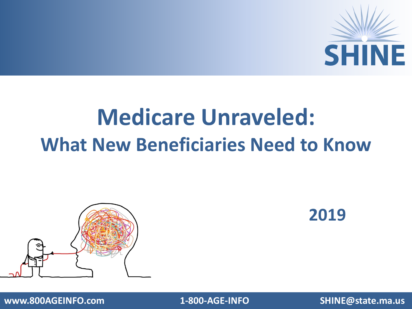

#### **Medicare Unraveled: What New Beneficiaries Need to Know**



**2019**

**www.800AGEINFO.com 1-800-AGE-INFO SHINE@state.ma.us**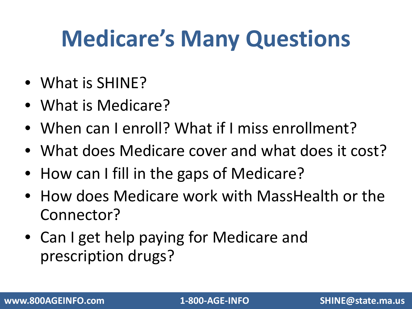### **Medicare's Many Questions**

- What is SHINE?
- What is Medicare?
- When can I enroll? What if I miss enrollment?
- What does Medicare cover and what does it cost?
- How can I fill in the gaps of Medicare?
- How does Medicare work with MassHealth or the Connector?
- Can I get help paying for Medicare and prescription drugs?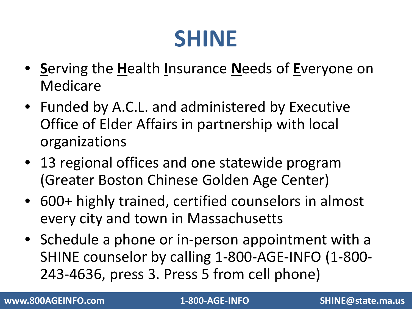#### **SHINE**

- **S**erving the **H**ealth **I**nsurance **N**eeds of **E**veryone on Medicare
- Funded by A.C.L. and administered by Executive Office of Elder Affairs in partnership with local organizations
- 13 regional offices and one statewide program (Greater Boston Chinese Golden Age Center)
- 600+ highly trained, certified counselors in almost every city and town in Massachusetts
- Schedule a phone or in-person appointment with a SHINE counselor by calling 1-800-AGE-INFO (1-800- 243-4636, press 3. Press 5 from cell phone)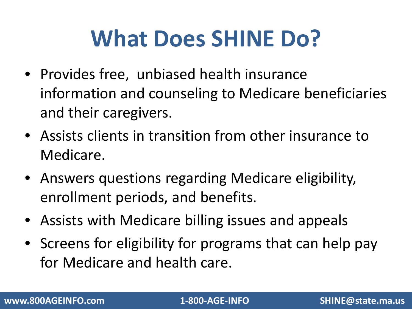### **What Does SHINE Do?**

- Provides free, unbiased health insurance information and counseling to Medicare beneficiaries and their caregivers.
- Assists clients in transition from other insurance to Medicare.
- Answers questions regarding Medicare eligibility, enrollment periods, and benefits.
- Assists with Medicare billing issues and appeals
- Screens for eligibility for programs that can help pay for Medicare and health care.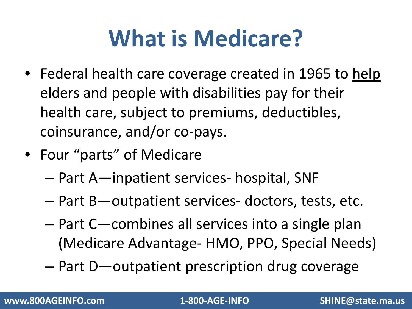## **What is Medicare?**

- Federal health care coverage created in 1965 to help elders and people with disabilities pay for their health care, subject to premiums, deductibles, coinsurance, and/or co-pays.
- Four "parts" of Medicare
	- Part A—inpatient services- hospital, SNF
	- Part B—outpatient services- doctors, tests, etc.
	- Part C—combines all services into a single plan (Medicare Advantage- HMO, PPO, Special Needs)
	- Part D—outpatient prescription drug coverage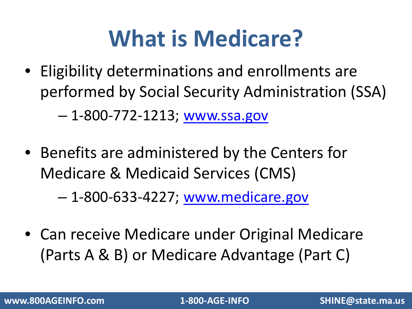### **What is Medicare?**

• Eligibility determinations and enrollments are performed by Social Security Administration (SSA)

– 1-800-772-1213; [www.ssa.gov](http://www.ssa.gov/)

• Benefits are administered by the Centers for Medicare & Medicaid Services (CMS)

– 1-800-633-4227; [www.medicare.gov](http://www.medicare.gov/)

• Can receive Medicare under Original Medicare (Parts A & B) or Medicare Advantage (Part C)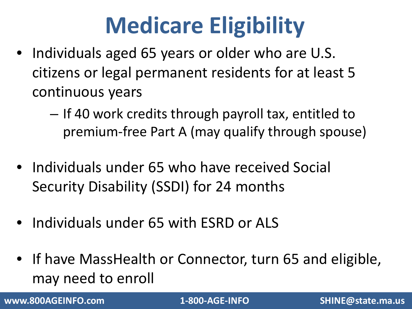## **Medicare Eligibility**

- Individuals aged 65 years or older who are U.S. citizens or legal permanent residents for at least 5 continuous years
	- If 40 work credits through payroll tax, entitled to premium-free Part A (may qualify through spouse)
- Individuals under 65 who have received Social Security Disability (SSDI) for 24 months
- Individuals under 65 with ESRD or ALS
- If have MassHealth or Connector, turn 65 and eligible, may need to enroll

**www.800AGEINFO.com 1-800-AGE-INFO SHINE@state.ma.us**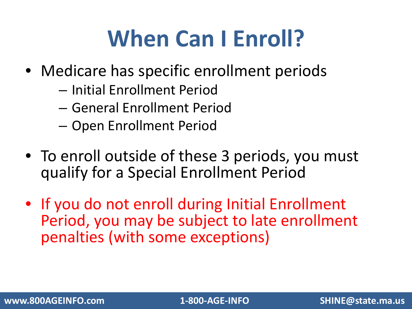### **When Can I Enroll?**

- Medicare has specific enrollment periods
	- Initial Enrollment Period
	- General Enrollment Period
	- Open Enrollment Period
- To enroll outside of these 3 periods, you must qualify for a Special Enrollment Period
- If you do not enroll during Initial Enrollment Period, you may be subject to late enrollment penalties (with some exceptions)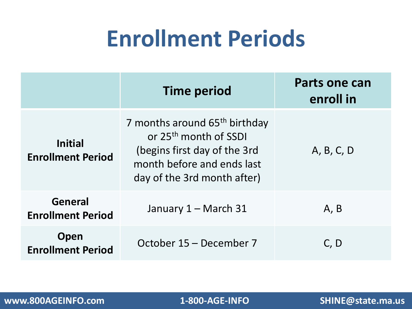#### **Enrollment Periods**

|                                            | <b>Time period</b>                                                                                                                                                          | Parts one can<br>enroll in |
|--------------------------------------------|-----------------------------------------------------------------------------------------------------------------------------------------------------------------------------|----------------------------|
| <b>Initial</b><br><b>Enrollment Period</b> | 7 months around 65 <sup>th</sup> birthday<br>or 25 <sup>th</sup> month of SSDI<br>(begins first day of the 3rd<br>month before and ends last<br>day of the 3rd month after) | A, B, C, D                 |
| General<br><b>Enrollment Period</b>        | January 1 - March 31                                                                                                                                                        | A, B                       |
| Open<br><b>Enrollment Period</b>           | October 15 – December 7                                                                                                                                                     | C, D                       |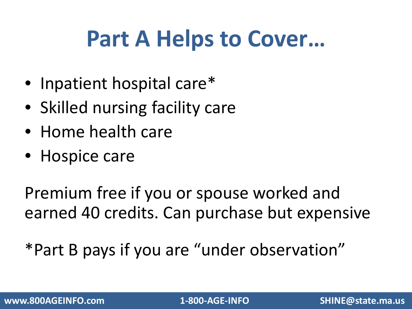#### **Part A Helps to Cover…**

- Inpatient hospital care\*
- Skilled nursing facility care
- Home health care
- Hospice care

Premium free if you or spouse worked and earned 40 credits. Can purchase but expensive

\*Part B pays if you are "under observation"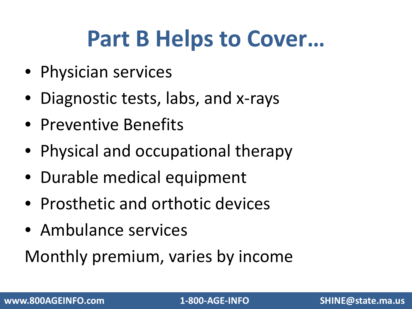#### **Part B Helps to Cover…**

- Physician services
- Diagnostic tests, labs, and x-rays
- Preventive Benefits
- Physical and occupational therapy
- Durable medical equipment
- Prosthetic and orthotic devices
- Ambulance services

Monthly premium, varies by income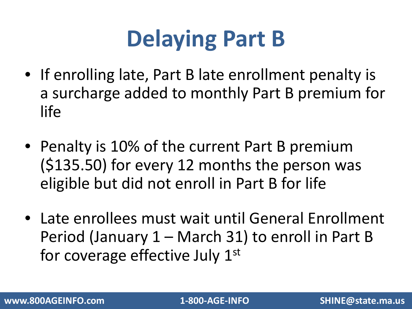## **Delaying Part B**

- If enrolling late, Part B late enrollment penalty is a surcharge added to monthly Part B premium for life
- Penalty is 10% of the current Part B premium (\$135.50) for every 12 months the person was eligible but did not enroll in Part B for life
- Late enrollees must wait until General Enrollment Period (January 1 – March 31) to enroll in Part B for coverage effective July 1<sup>st</sup>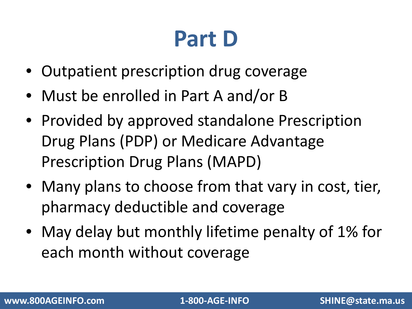### **Part D**

- Outpatient prescription drug coverage
- Must be enrolled in Part A and/or B
- Provided by approved standalone Prescription Drug Plans (PDP) or Medicare Advantage Prescription Drug Plans (MAPD)
- Many plans to choose from that vary in cost, tier, pharmacy deductible and coverage
- May delay but monthly lifetime penalty of 1% for each month without coverage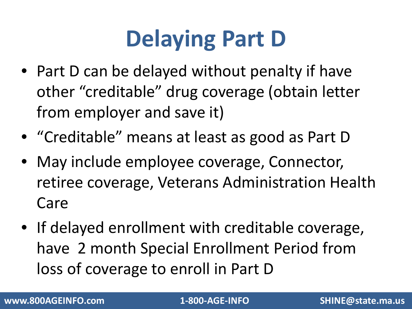## **Delaying Part D**

- Part D can be delayed without penalty if have other "creditable" drug coverage (obtain letter from employer and save it)
- "Creditable" means at least as good as Part D
- May include employee coverage, Connector, retiree coverage, Veterans Administration Health Care
- If delayed enrollment with creditable coverage, have 2 month Special Enrollment Period from loss of coverage to enroll in Part D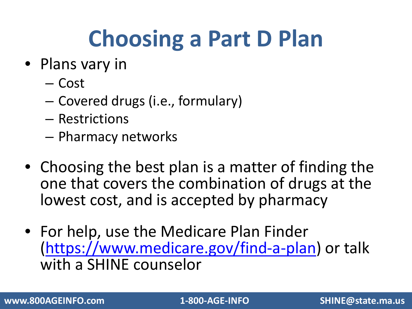## **Choosing a Part D Plan**

- Plans vary in
	- Cost
	- Covered drugs (i.e., formulary)
	- Restrictions
	- Pharmacy networks
- Choosing the best plan is a matter of finding the one that covers the combination of drugs at the lowest cost, and is accepted by pharmacy
- For help, use the Medicare Plan Finder [\(https://www.medicare.gov/find-a-plan](https://www.medicare.gov/find-a-plan)) or talk with a SHINE counselor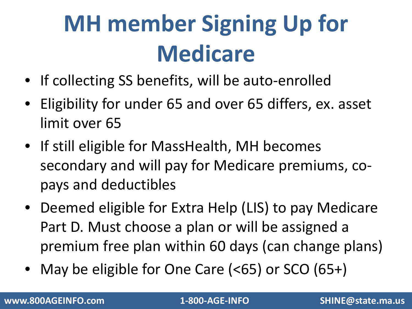# **MH member Signing Up for Medicare**

- If collecting SS benefits, will be auto-enrolled
- Eligibility for under 65 and over 65 differs, ex. asset limit over 65
- If still eligible for MassHealth, MH becomes secondary and will pay for Medicare premiums, copays and deductibles
- Deemed eligible for Extra Help (LIS) to pay Medicare Part D. Must choose a plan or will be assigned a premium free plan within 60 days (can change plans)
- May be eligible for One Care (<65) or SCO (65+)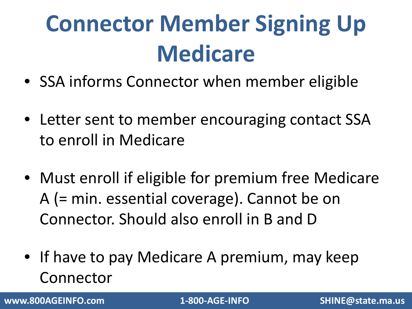# **Connector Member Signing Up Medicare**

- SSA informs Connector when member eligible
- Letter sent to member encouraging contact SSA to enroll in Medicare
- Must enroll if eligible for premium free Medicare A (= min. essential coverage). Cannot be on Connector. Should also enroll in B and D
- If have to pay Medicare A premium, may keep Connector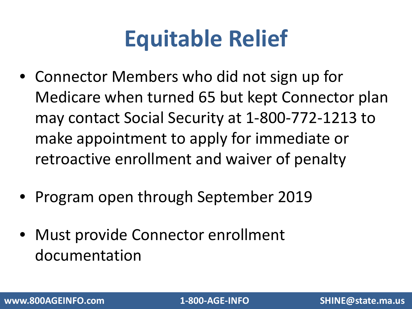### **Equitable Relief**

- Connector Members who did not sign up for Medicare when turned 65 but kept Connector plan may contact Social Security at 1-800-772-1213 to make appointment to apply for immediate or retroactive enrollment and waiver of penalty
- Program open through September 2019
- Must provide Connector enrollment documentation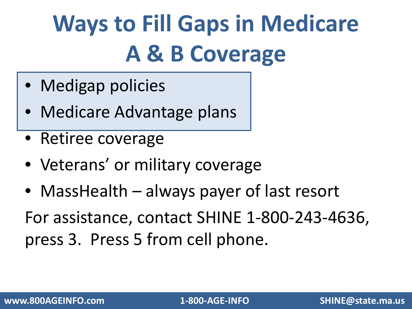# **Ways to Fill Gaps in Medicare A & B Coverage**

- Medigap policies
- Medicare Advantage plans
- Retiree coverage
- Veterans' or military coverage
- MassHealth always payer of last resort

For assistance, contact SHINE 1-800-243-4636, press 3. Press 5 from cell phone.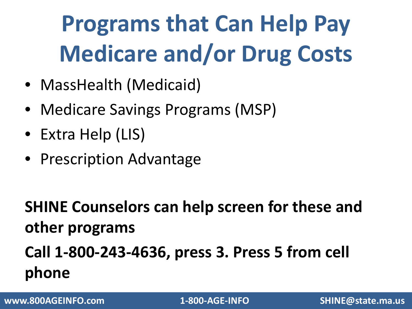# **Programs that Can Help Pay Medicare and/or Drug Costs**

- MassHealth (Medicaid)
- Medicare Savings Programs (MSP)
- Extra Help (LIS)
- Prescription Advantage

**SHINE Counselors can help screen for these and other programs Call 1-800-243-4636, press 3. Press 5 from cell phone**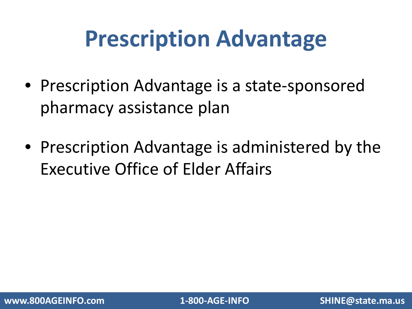#### **Prescription Advantage**

- Prescription Advantage is a state-sponsored pharmacy assistance plan
- Prescription Advantage is administered by the Executive Office of Elder Affairs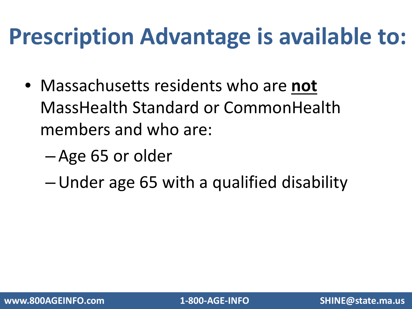#### **Prescription Advantage is available to:**

- Massachusetts residents who are **not**  MassHealth Standard or CommonHealth members and who are:
	- Age 65 or older
	- –Under age 65 with a qualified disability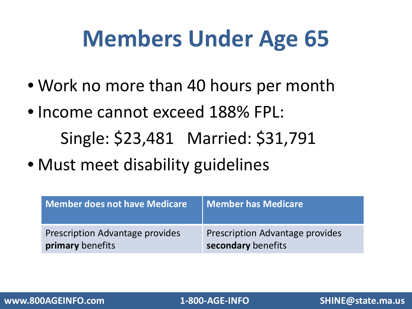### **Members Under Age 65**

- Work no more than 40 hours per month
- Income cannot exceed 188% FPL: Single: \$23,481 Married: \$31,791
- Must meet disability guidelines

| Member does not have Medicare          | Member has Medicare                    |
|----------------------------------------|----------------------------------------|
| <b>Prescription Advantage provides</b> | <b>Prescription Advantage provides</b> |
| primary benefits                       | secondary benefits                     |

**www.800AGEINFO.com 1-800-AGE-INFO SHINE@state.ma.us**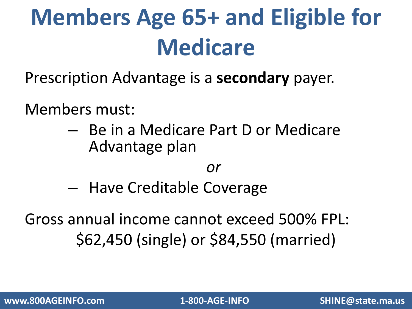# **Members Age 65+ and Eligible for Medicare**

Prescription Advantage is a **secondary** payer.

Members must:

– Be in a Medicare Part D or Medicare Advantage plan

*or*

– Have Creditable Coverage

Gross annual income cannot exceed 500% FPL: \$62,450 (single) or \$84,550 (married)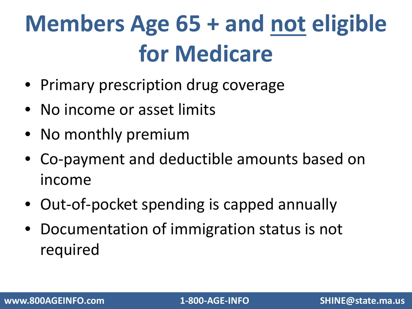# **Members Age 65 + and not eligible for Medicare**

- Primary prescription drug coverage
- No income or asset limits
- No monthly premium
- Co-payment and deductible amounts based on income
- Out-of-pocket spending is capped annually
- Documentation of immigration status is not required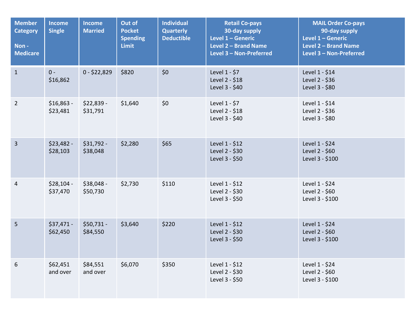| <b>Member</b><br><b>Category</b><br>Non-<br><b>Medicare</b> | Income<br><b>Single</b> | <b>Income</b><br><b>Married</b> | Out of<br><b>Pocket</b><br><b>Spending</b><br><b>Limit</b> | <b>Individual</b><br><b>Quarterly</b><br><b>Deductible</b> | <b>Retail Co-pays</b><br>30-day supply<br>Level 1 - Generic<br>Level 2 - Brand Name<br>Level 3 - Non-Preferred | <b>MAIL Order Co-pays</b><br>90-day supply<br>Level 1 - Generic<br>Level 2 - Brand Name<br>Level 3 - Non-Preferred |
|-------------------------------------------------------------|-------------------------|---------------------------------|------------------------------------------------------------|------------------------------------------------------------|----------------------------------------------------------------------------------------------------------------|--------------------------------------------------------------------------------------------------------------------|
| $\mathbf{1}$                                                | $0 -$<br>\$16,862       | $0 - $22,829$                   | \$820                                                      | \$0                                                        | Level 1 - \$7<br>Level 2 - \$18<br>Level 3 - \$40                                                              | Level 1 - \$14<br>Level 2 - \$36<br>Level 3 - \$80                                                                 |
| $\overline{2}$                                              | $$16,863 -$<br>\$23,481 | $$22,839-$<br>\$31,791          | \$1,640                                                    | \$0                                                        | Level 1 - \$7<br>Level 2 - \$18<br>Level 3 - \$40                                                              | Level 1 - \$14<br>Level 2 - \$36<br>Level 3 - \$80                                                                 |
| $\overline{3}$                                              | $$23,482-$<br>\$28,103  | $$31,792 -$<br>\$38,048         | \$2,280                                                    | \$65                                                       | Level 1 - \$12<br>Level 2 - \$30<br>Level 3 - \$50                                                             | Level 1 - \$24<br>Level 2 - \$60<br>Level 3 - \$100                                                                |
| $\overline{4}$                                              | $$28,104 -$<br>\$37,470 | \$38,048 -<br>\$50,730          | \$2,730                                                    | \$110                                                      | Level 1 - \$12<br>Level 2 - \$30<br>Level 3 - \$50                                                             | Level 1 - \$24<br>Level 2 - \$60<br>Level 3 - \$100                                                                |
| 5                                                           | $$37,471 -$<br>\$62,450 | \$50,731 -<br>\$84,550          | \$3,640                                                    | \$220                                                      | Level 1 - \$12<br>Level 2 - \$30<br>Level 3 - \$50                                                             | Level 1 - \$24<br>Level 2 - \$60<br>Level 3 - \$100                                                                |
| 6                                                           | \$62,451<br>and over    | \$84,551<br>and over            | \$6,070                                                    | \$350                                                      | Level 1 - \$12<br>Level 2 - \$30<br>Level 3 - \$50                                                             | Level 1 - \$24<br>Level 2 - \$60<br>Level 3 - \$100                                                                |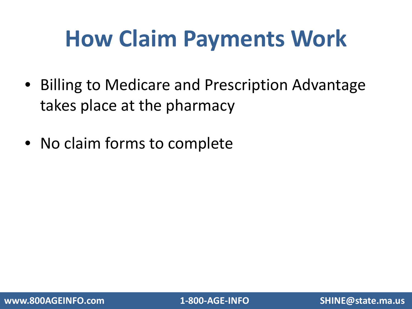### **How Claim Payments Work**

- Billing to Medicare and Prescription Advantage takes place at the pharmacy
- No claim forms to complete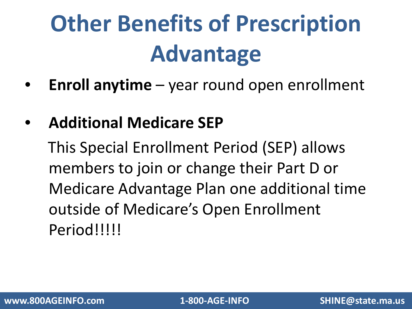# **Other Benefits of Prescription Advantage**

- **Enroll anytime** year round open enrollment
- **Additional Medicare SEP**

This Special Enrollment Period (SEP) allows members to join or change their Part D or Medicare Advantage Plan one additional time outside of Medicare's Open Enrollment Period!!!!!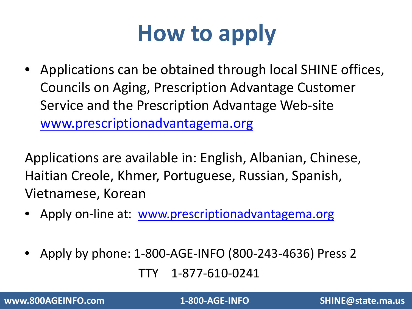## **How to apply**

• Applications can be obtained through local SHINE offices, Councils on Aging, Prescription Advantage Customer Service and the Prescription Advantage Web-site [www.prescriptionadvantagema.org](http://www.prescriptionadvantagema.org/)

Applications are available in: English, Albanian, Chinese, Haitian Creole, Khmer, Portuguese, Russian, Spanish, Vietnamese, Korean

- Apply on-line at: [www.prescriptionadvantagema.org](http://www.prescriptionadvantagema.org/)
- Apply by phone: 1-800-AGE-INFO (800-243-4636) Press 2 TTY 1-877-610-0241